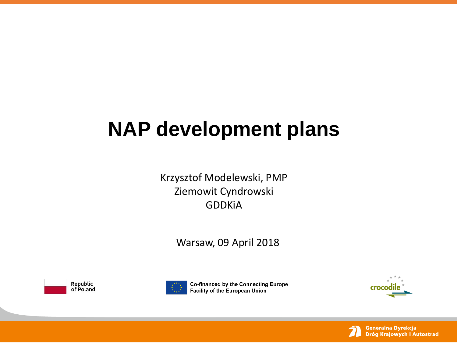# **NAP development plans**

Krzysztof Modelewski, PMP Ziemowit Cyndrowski GDDKiA

Warsaw, 09 April 2018





Co-financed by the Connecting Europe **Facility of the European Union** 



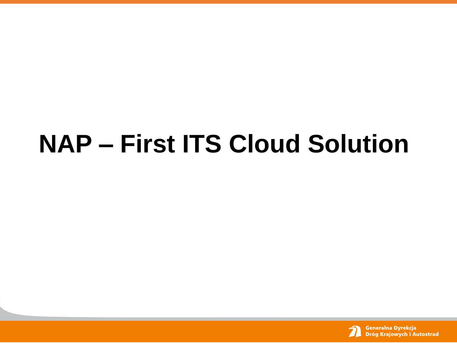# **NAP – First ITS Cloud Solution**

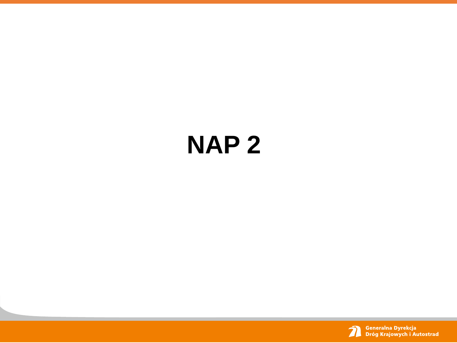# **NAP 2**

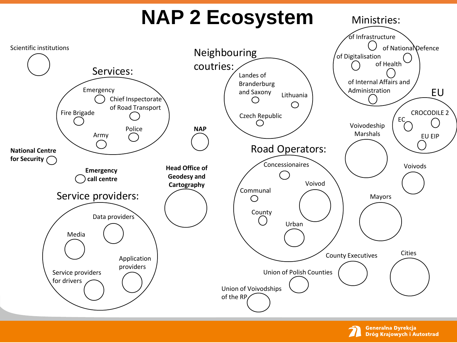# **NAP 2 Ecosystem**





Ministries: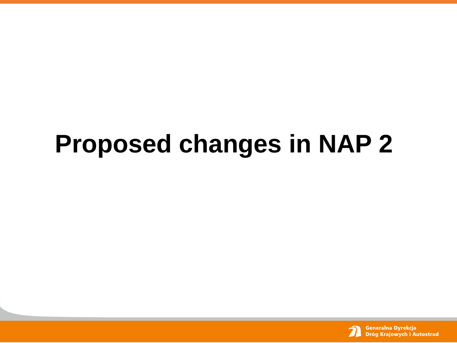# **Proposed changes in NAP 2**

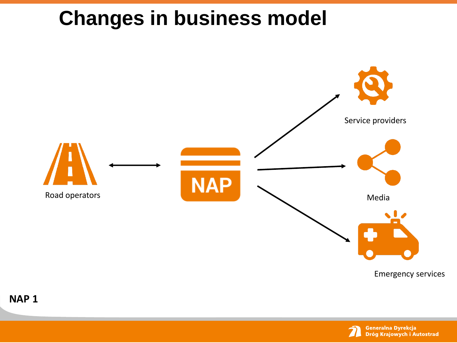

**NAP 1**

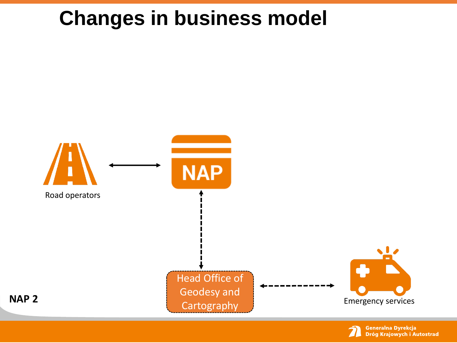

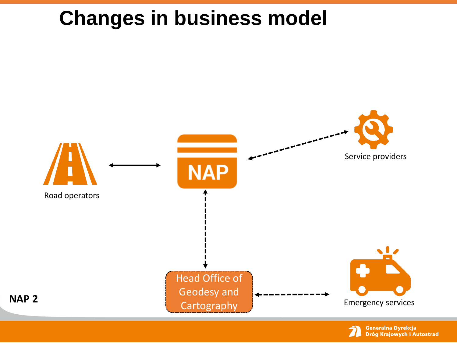

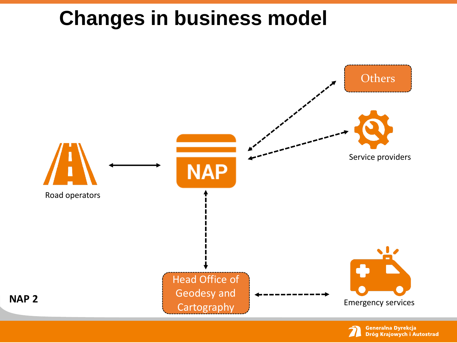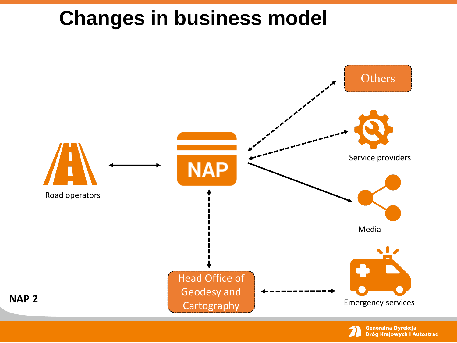

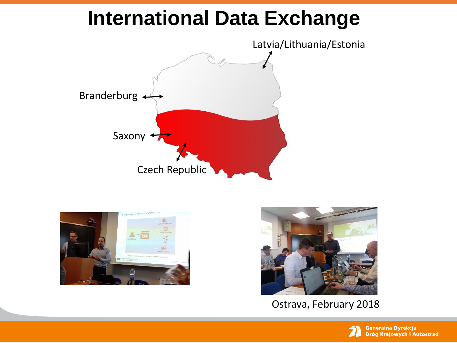### **International Data Exchange**







Ostrava, February 2018

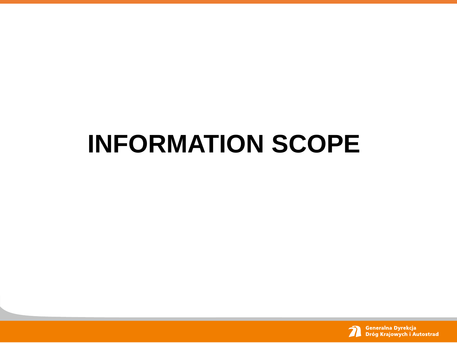# **INFORMATION SCOPE**

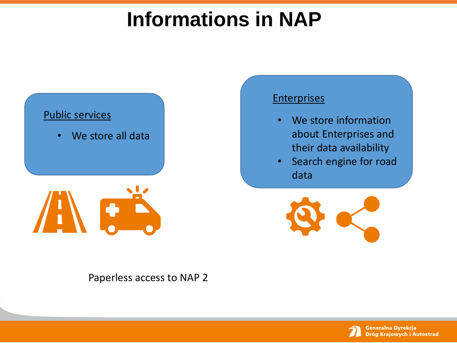# **Informations in NAP**



**Enterprises** 

- We store information about Enterprises and their data availability
- Search engine for road data



Paperless access to NAP 2

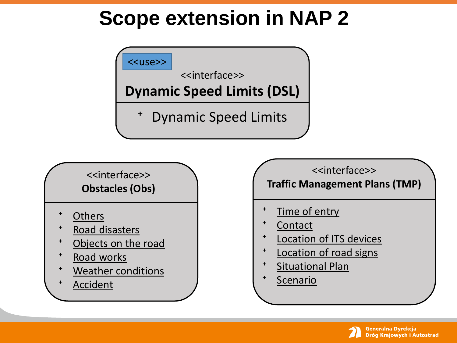## **Scope extension in NAP 2**



#### <<interface>> **Obstacles (Obs)**

- **Others**
- ⁺ Road disasters
- Objects on the road
- ⁺ Road works
- Weather conditions
- **Accident**

#### <<interface>> **Traffic Management Plans (TMP)**

- Time of entry
- **Contact**
- ⁺ Location of ITS devices
- Location of road signs
- ⁺ Situational Plan
- **Scenario**

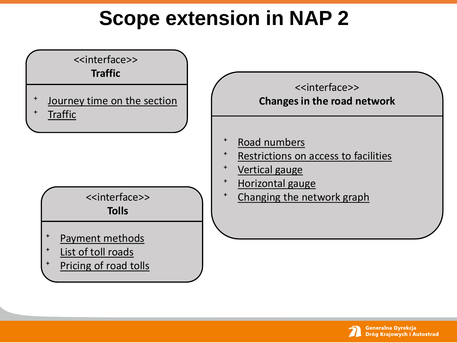# **Scope extension in NAP 2**



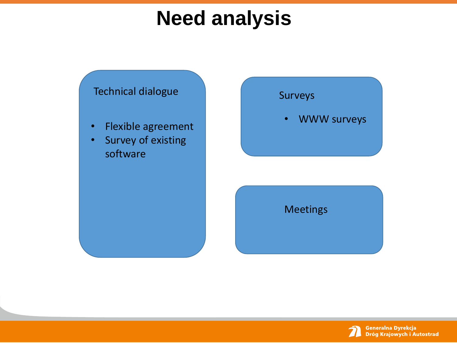## **Need analysis**



- Flexible agreement
- Survey of existing software

#### Surveys

• WWW surveys

Meetings

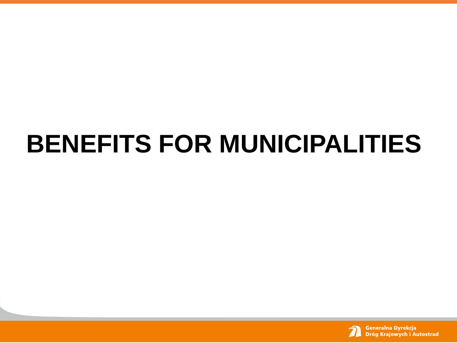# **BENEFITS FOR MUNICIPALITIES**

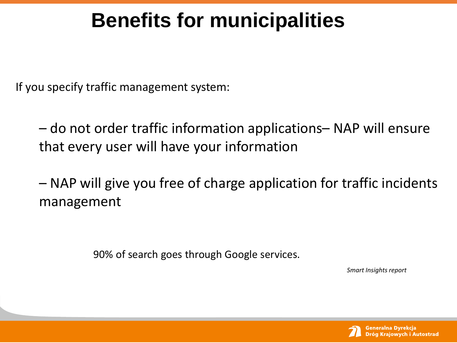## **Benefits for municipalities**

If you specify traffic management system:

– do not order traffic information applications– NAP will ensure that every user will have your information

– NAP will give you free of charge application for traffic incidents management

90% of search goes through Google services.

*Smart Insights report*

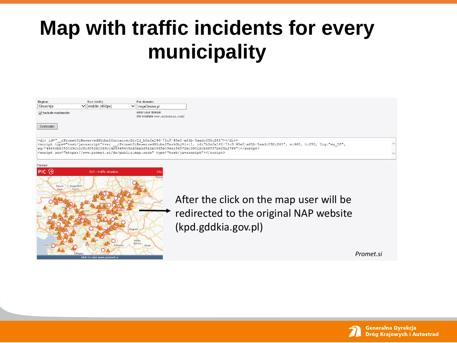## **Map with traffic incidents for every municipality**





After the click on the map user will be redirected to the original NAP website (kpd.gddkia.gov.pl)

*Promet.si*